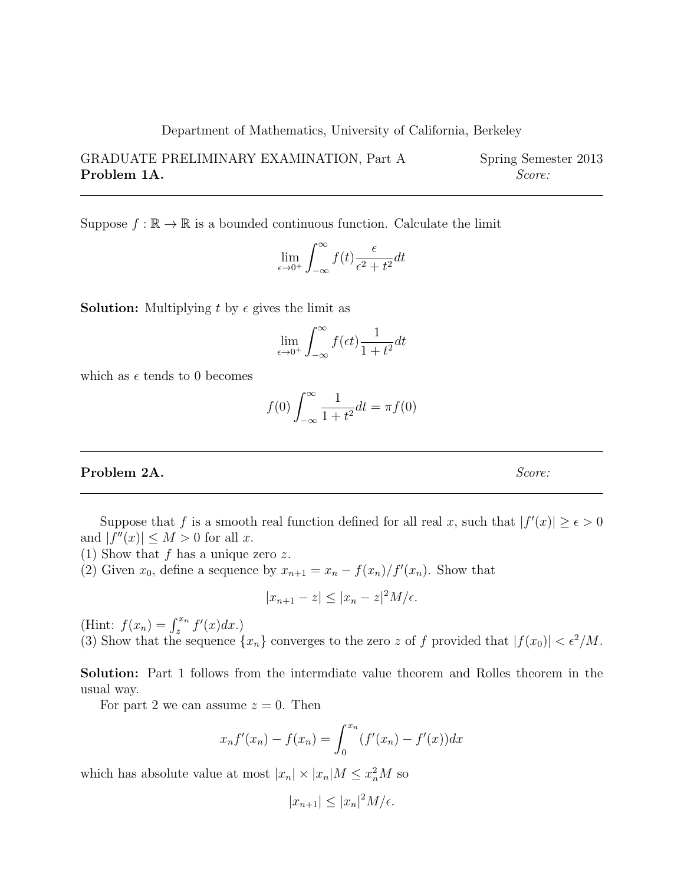Department of Mathematics, University of California, Berkeley

GRADUATE PRELIMINARY EXAMINATION, Part A Spring Semester 2013 **Problem 1A.** Score:

Suppose  $f : \mathbb{R} \to \mathbb{R}$  is a bounded continuous function. Calculate the limit

$$
\lim_{\epsilon \to 0^+} \int_{-\infty}^{\infty} f(t) \frac{\epsilon}{\epsilon^2 + t^2} dt
$$

**Solution:** Multiplying t by  $\epsilon$  gives the limit as

$$
\lim_{\epsilon \to 0^+} \int_{-\infty}^{\infty} f(\epsilon t) \frac{1}{1 + t^2} dt
$$

which as  $\epsilon$  tends to 0 becomes

$$
f(0) \int_{-\infty}^{\infty} \frac{1}{1+t^2} dt = \pi f(0)
$$

# Problem 2A. Score:

Suppose that f is a smooth real function defined for all real x, such that  $|f'(x)| \ge \epsilon > 0$ and  $|f''(x)| \leq M > 0$  for all x.

- (1) Show that  $f$  has a unique zero  $z$ .
- (2) Given  $x_0$ , define a sequence by  $x_{n+1} = x_n \frac{f(x_n)}{f'(x_n)}$ . Show that

$$
|x_{n+1} - z| \le |x_n - z|^2 M / \epsilon.
$$

(Hint:  $f(x_n) = \int_{z}^{x_n} f'(x) dx$ .)

(3) Show that the sequence  $\{x_n\}$  converges to the zero z of f provided that  $|f(x_0)| < \epsilon^2/M$ .

Solution: Part 1 follows from the intermdiate value theorem and Rolles theorem in the usual way.

For part 2 we can assume  $z = 0$ . Then

$$
x_n f'(x_n) - f(x_n) = \int_0^{x_n} (f'(x_n) - f'(x)) dx
$$

which has absolute value at most  $|x_n| \times |x_n| M \leq x_n^2 M$  so

$$
|x_{n+1}| \le |x_n|^2 M/\epsilon.
$$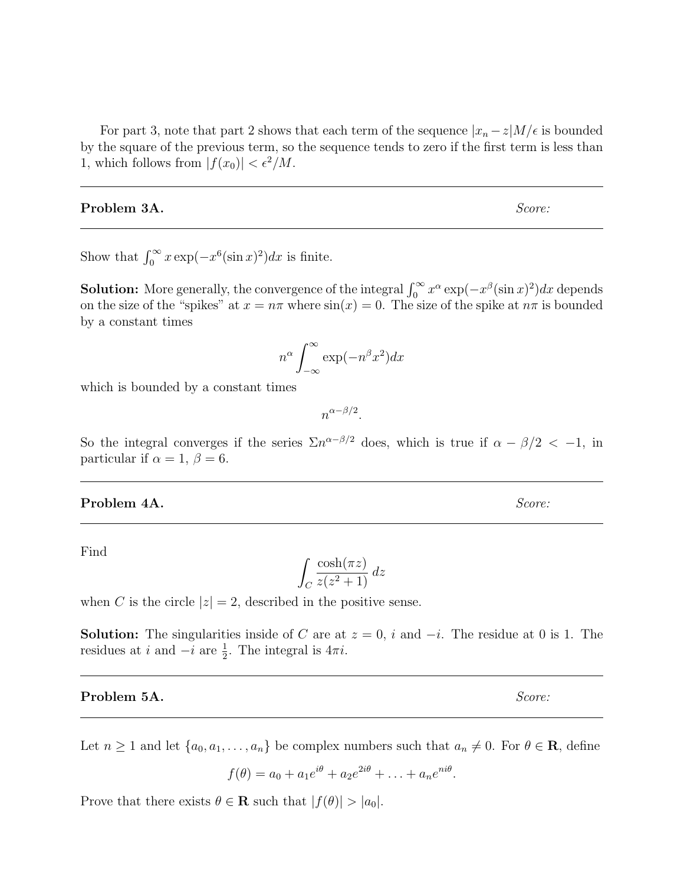For part 3, note that part 2 shows that each term of the sequence  $|x_n - z|M/\epsilon$  is bounded by the square of the previous term, so the sequence tends to zero if the first term is less than 1, which follows from  $|f(x_0)| < \epsilon^2/M$ .

### **Problem 3A.** Score:

Show that  $\int_0^\infty x \exp(-x^6(\sin x)^2) dx$  is finite.

**Solution:** More generally, the convergence of the integral  $\int_0^\infty x^\alpha \exp(-x^\beta (\sin x)^2) dx$  depends on the size of the "spikes" at  $x = n\pi$  where  $sin(x) = 0$ . The size of the spike at  $n\pi$  is bounded by a constant times

$$
n^{\alpha} \int_{-\infty}^{\infty} \exp(-n^{\beta} x^2) dx
$$

which is bounded by a constant times

 $n^{\alpha-\beta/2}$ .

So the integral converges if the series  $\Sigma n^{\alpha-\beta/2}$  does, which is true if  $\alpha - \beta/2 < -1$ , in particular if  $\alpha = 1, \beta = 6$ .

**Problem 4A.** Score:

Find

$$
\int_C \frac{\cosh(\pi z)}{z(z^2+1)}\,dz
$$

when C is the circle  $|z| = 2$ , described in the positive sense.

**Solution:** The singularities inside of C are at  $z = 0$ , i and  $-i$ . The residue at 0 is 1. The residues at *i* and  $-i$  are  $\frac{1}{2}$ . The integral is  $4\pi i$ .

## **Problem 5A.** Score:

Let  $n \geq 1$  and let  $\{a_0, a_1, \ldots, a_n\}$  be complex numbers such that  $a_n \neq 0$ . For  $\theta \in \mathbf{R}$ , define

$$
f(\theta) = a_0 + a_1 e^{i\theta} + a_2 e^{2i\theta} + \ldots + a_n e^{ni\theta}.
$$

Prove that there exists  $\theta \in \mathbf{R}$  such that  $|f(\theta)| > |a_0|$ .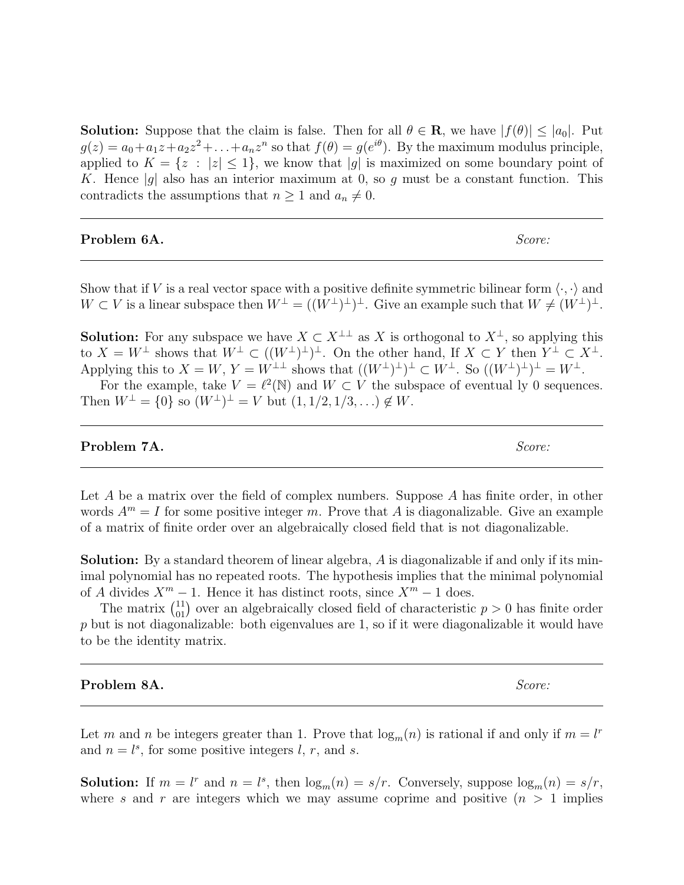**Solution:** Suppose that the claim is false. Then for all  $\theta \in \mathbf{R}$ , we have  $|f(\theta)| \leq |a_0|$ . Put  $g(z) = a_0 + a_1 z + a_2 z^2 + \ldots + a_n z^n$  so that  $f(\theta) = g(e^{i\theta})$ . By the maximum modulus principle, applied to  $K = \{z : |z| \leq 1\}$ , we know that |g| is maximized on some boundary point of K. Hence |g| also has an interior maximum at 0, so g must be a constant function. This contradicts the assumptions that  $n \geq 1$  and  $a_n \neq 0$ .

| Problem 6A. | Score: |
|-------------|--------|
|             |        |

Show that if V is a real vector space with a positive definite symmetric bilinear form  $\langle \cdot, \cdot \rangle$  and  $W \subset V$  is a linear subspace then  $W^{\perp} = ((W^{\perp})^{\perp})^{\perp}$ . Give an example such that  $W \neq (W^{\perp})^{\perp}$ .

**Solution:** For any subspace we have  $X \subset X^{\perp\perp}$  as X is orthogonal to  $X^{\perp}$ , so applying this to  $X = W^{\perp}$  shows that  $W^{\perp} \subset ((W^{\perp})^{\perp})^{\perp}$ . On the other hand, If  $X \subset Y$  then  $Y^{\perp} \subset X^{\perp}$ . Applying this to  $X = W$ ,  $Y = W^{\perp \perp}$  shows that  $((W^{\perp})^{\perp})^{\perp} \subset W^{\perp}$ . So  $((W^{\perp})^{\perp})^{\perp} = W^{\perp}$ . For the example, take  $V = \ell^2(\mathbb{N})$  and  $W \subset V$  the subspace of eventual ly 0 sequences.

Then  $W^{\perp} = \{0\}$  so  $(W^{\perp})^{\perp} = V$  but  $(1, 1/2, 1/3, ...) \notin W$ .

| Problem 7A. | Score: |
|-------------|--------|
|-------------|--------|

Let A be a matrix over the field of complex numbers. Suppose A has finite order, in other words  $A^m = I$  for some positive integer m. Prove that A is diagonalizable. Give an example of a matrix of finite order over an algebraically closed field that is not diagonalizable.

Solution: By a standard theorem of linear algebra, A is diagonalizable if and only if its minimal polynomial has no repeated roots. The hypothesis implies that the minimal polynomial of A divides  $X^m - 1$ . Hence it has distinct roots, since  $X^m - 1$  does.

The matrix  $\binom{11}{01}$  over an algebraically closed field of characteristic  $p > 0$  has finite order  $p$  but is not diagonalizable: both eigenvalues are 1, so if it were diagonalizable it would have to be the identity matrix.

| Problem 8A. | Score: |
|-------------|--------|
|             |        |

Let m and n be integers greater than 1. Prove that  $\log_m(n)$  is rational if and only if  $m = l^r$ and  $n = l^s$ , for some positive integers l, r, and s.

**Solution:** If  $m = l^r$  and  $n = l^s$ , then  $\log_m(n) = s/r$ . Conversely, suppose  $\log_m(n) = s/r$ , where s and r are integers which we may assume coprime and positive  $(n > 1)$  implies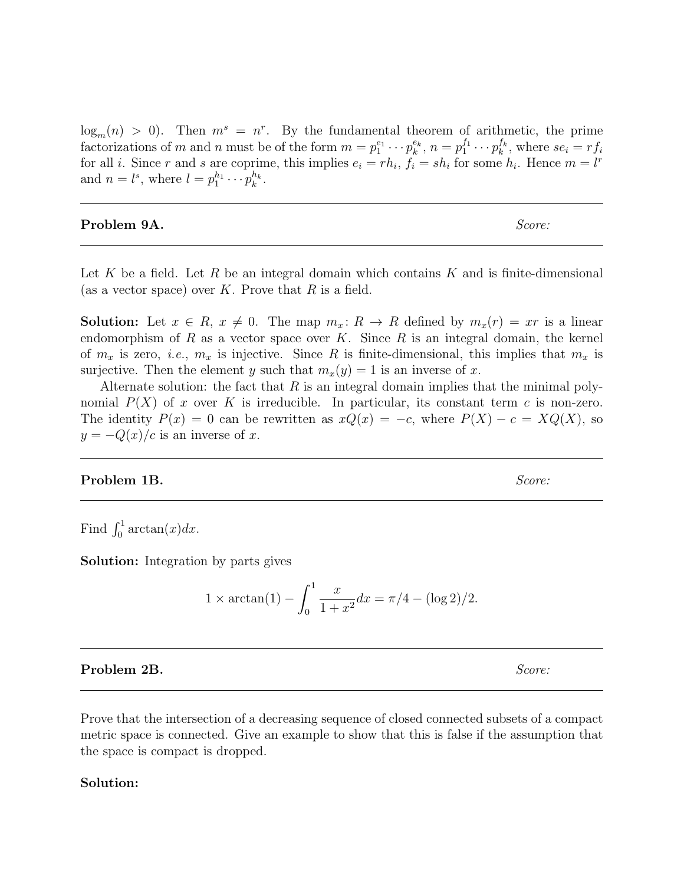$\log_m(n) > 0$ . Then  $m^s = n^r$ . By the fundamental theorem of arithmetic, the prime factorizations of m and n must be of the form  $m = p_1^{e_1} \cdots p_k^{e_k}$ ,  $n = p_1^{f_1} \cdots p_k^{f_k}$  $k^{f_k}$ , where  $se_i = rf_i$ for all *i*. Since r and *s* are coprime, this implies  $e_i = rh_i$ ,  $f_i = sh_i$  for some  $h_i$ . Hence  $m = l^r$ and  $n = l^s$ , where  $l = p_1^{h_1} \cdots p_k^{h_k}$ .

**Problem 9A.** Score:

Let K be a field. Let R be an integral domain which contains K and is finite-dimensional (as a vector space) over K. Prove that  $R$  is a field.

**Solution:** Let  $x \in R$ ,  $x \neq 0$ . The map  $m_x : R \to R$  defined by  $m_x(r) = xr$  is a linear endomorphism of  $R$  as a vector space over  $K$ . Since  $R$  is an integral domain, the kernel of  $m_x$  is zero, *i.e.*,  $m_x$  is injective. Since R is finite-dimensional, this implies that  $m_x$  is surjective. Then the element y such that  $m_x(y) = 1$  is an inverse of x.

Alternate solution: the fact that  $R$  is an integral domain implies that the minimal polynomial  $P(X)$  of x over K is irreducible. In particular, its constant term c is non-zero. The identity  $P(x) = 0$  can be rewritten as  $xQ(x) = -c$ , where  $P(X) - c = XQ(X)$ , so  $y = -Q(x)/c$  is an inverse of x.

# **Problem 1B.** Score:

Find  $\int_0^1 \arctan(x) dx$ .

Solution: Integration by parts gives

$$
1 \times \arctan(1) - \int_0^1 \frac{x}{1+x^2} dx = \pi/4 - (\log 2)/2.
$$

# **Problem 2B.** Score:

Prove that the intersection of a decreasing sequence of closed connected subsets of a compact metric space is connected. Give an example to show that this is false if the assumption that the space is compact is dropped.

# Solution: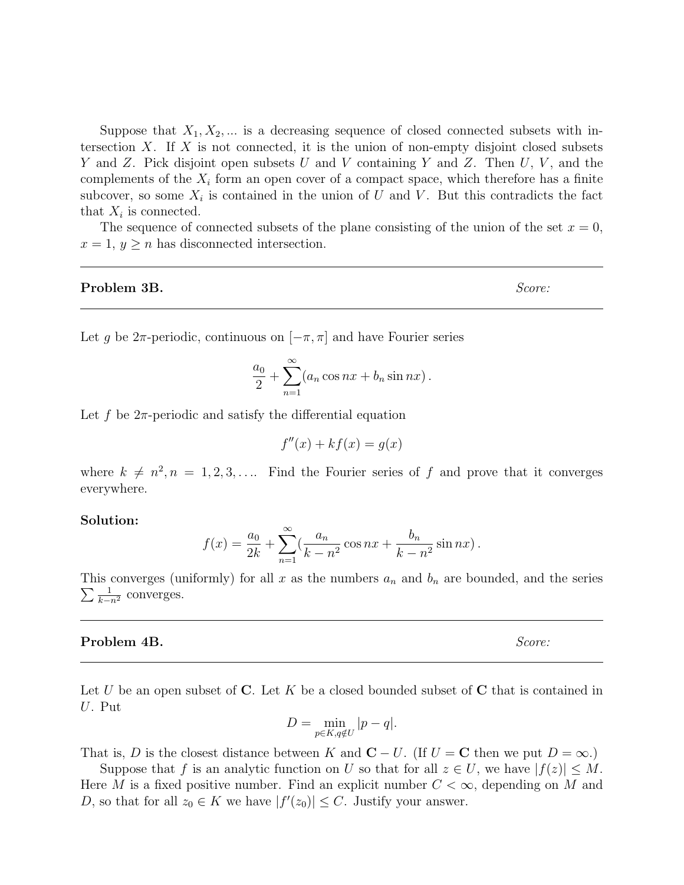Suppose that  $X_1, X_2, \ldots$  is a decreasing sequence of closed connected subsets with intersection  $X$ . If  $X$  is not connected, it is the union of non-empty disjoint closed subsets Y and Z. Pick disjoint open subsets U and V containing Y and Z. Then  $U, V$ , and the complements of the  $X_i$  form an open cover of a compact space, which therefore has a finite subcover, so some  $X_i$  is contained in the union of U and V. But this contradicts the fact that  $X_i$  is connected.

The sequence of connected subsets of the plane consisting of the union of the set  $x = 0$ ,  $x = 1, y \geq n$  has disconnected intersection.

### **Problem 3B.** Score:

Let g be  $2\pi$ -periodic, continuous on  $[-\pi, \pi]$  and have Fourier series

$$
\frac{a_0}{2} + \sum_{n=1}^{\infty} (a_n \cos nx + b_n \sin nx).
$$

Let f be  $2\pi$ -periodic and satisfy the differential equation

$$
f''(x) + kf(x) = g(x)
$$

where  $k \neq n^2, n = 1, 2, 3, \ldots$  Find the Fourier series of f and prove that it converges everywhere.

#### Solution:

$$
f(x) = \frac{a_0}{2k} + \sum_{n=1}^{\infty} \left(\frac{a_n}{k - n^2} \cos nx + \frac{b_n}{k - n^2} \sin nx\right).
$$

This converges (uniformly) for all x as the numbers  $a_n$  and  $b_n$  are bounded, and the series  $\sum \frac{1}{k-n^2}$  converges.

#### **Problem 4B.** Score:

Let U be an open subset of C. Let K be a closed bounded subset of C that is contained in U. Put

$$
D = \min_{p \in K, q \notin U} |p - q|.
$$

That is, D is the closest distance between K and  $C - U$ . (If  $U = C$  then we put  $D = \infty$ .)

Suppose that f is an analytic function on U so that for all  $z \in U$ , we have  $|f(z)| \leq M$ . Here M is a fixed positive number. Find an explicit number  $C < \infty$ , depending on M and D, so that for all  $z_0 \in K$  we have  $|f'(z_0)| \leq C$ . Justify your answer.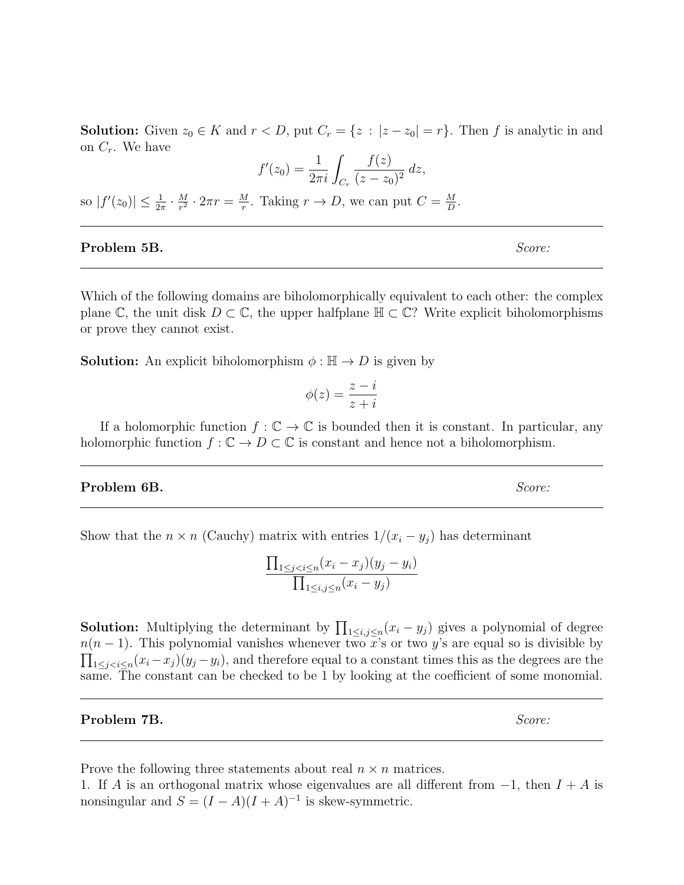**Solution:** Given  $z_0 \in K$  and  $r < D$ , put  $C_r = \{z : |z - z_0| = r\}$ . Then f is analytic in and on  $C_r$ . We have

$$
f'(z_0) = \frac{1}{2\pi i} \int_{C_r} \frac{f(z)}{(z - z_0)^2} dz,
$$

so  $|f'(z_0)| \leq \frac{1}{2\pi} \cdot \frac{M}{r^2}$  $\frac{M}{r^2} \cdot 2\pi r = \frac{M}{r}$  $\frac{M}{r}$ . Taking  $r \to D$ , we can put  $C = \frac{M}{D}$  $\frac{M}{D}$  .

## **Problem 5B.** Score:

Which of the following domains are biholomorphically equivalent to each other: the complex plane  $\mathbb{C}$ , the unit disk  $D \subset \mathbb{C}$ , the upper halfplane  $\mathbb{H} \subset \mathbb{C}$ ? Write explicit biholomorphisms or prove they cannot exist.

**Solution:** An explicit biholomorphism  $\phi : \mathbb{H} \to D$  is given by

$$
\phi(z) = \frac{z - i}{z + i}
$$

If a holomorphic function  $f: \mathbb{C} \to \mathbb{C}$  is bounded then it is constant. In particular, any holomorphic function  $f: \mathbb{C} \to D \subset \mathbb{C}$  is constant and hence not a biholomorphism.

**Problem 6B.** Score:

Show that the  $n \times n$  (Cauchy) matrix with entries  $1/(x_i - y_j)$  has determinant

$$
\frac{\prod_{1 \leq j < i \leq n} (x_i - x_j)(y_j - y_i)}{\prod_{1 \leq i, j \leq n} (x_i - y_j)}
$$

**Solution:** Multiplying the determinant by  $\prod_{1 \leq i,j \leq n} (x_i - y_j)$  gives a polynomial of degree  $n(n-1)$ . This polynomial vanishes whenever two x's or two y's are equal so is divisible by  $\prod_{1 \leq j < i \leq n} (x_i - x_j)(y_j - y_i)$ , and therefore equal to a constant times this as the degrees are the same. The constant can be checked to be 1 by looking at the coefficient of some monomial.

### **Problem 7B.** Score:

Prove the following three statements about real  $n \times n$  matrices.

1. If A is an orthogonal matrix whose eigenvalues are all different from  $-1$ , then  $I + A$  is nonsingular and  $S = (I - A)(I + A)^{-1}$  is skew-symmetric.